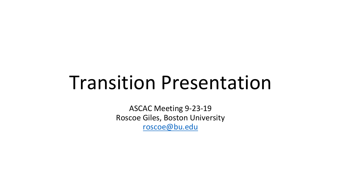## Transition Presentation

ASCAC Meeting 9-23-19 Roscoe Giles, Boston University [roscoe@bu.edu](mailto:roscoe@bu.edu)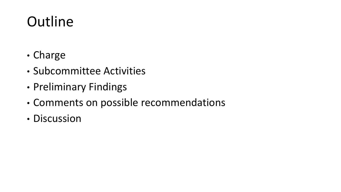## **Outline**

- Charge
- Subcommittee Activities
- Preliminary Findings
- Comments on possible recommendations
- Discussion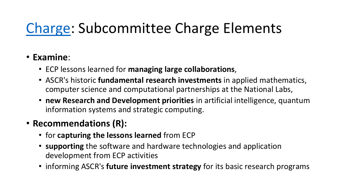### [Charge](https://science.osti.gov/-/media/ascr/ascac/pdf/charges/2018/Transition_Charge_Letter-SC_Binkley_signed.pdf): Subcommittee Charge Elements

#### • **Examine**:

- ECP lessons learned for **managing large collaborations**,
- ASCR's historic **fundamental research investments** in applied mathematics, computer science and computational partnerships at the National Labs,
- **new Research and Development priorities** in artificial intelligence, quantum information systems and strategic computing.

#### • **Recommendations (R):**

- for **capturing the lessons learned** from ECP
- **supporting** the software and hardware technologies and application development from ECP activities
- informing ASCR's **future investment strategy** for its basic research programs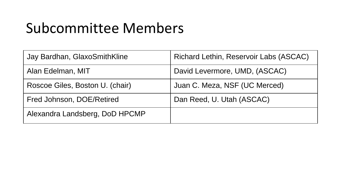### Subcommittee Members

| Jay Bardhan, GlaxoSmithKline    | <b>Richard Lethin, Reservoir Labs (ASCAC)</b> |
|---------------------------------|-----------------------------------------------|
| Alan Edelman, MIT               | David Levermore, UMD, (ASCAC)                 |
| Roscoe Giles, Boston U. (chair) | Juan C. Meza, NSF (UC Merced)                 |
| Fred Johnson, DOE/Retired       | Dan Reed, U. Utah (ASCAC)                     |
| Alexandra Landsberg, DoD HPCMP  |                                               |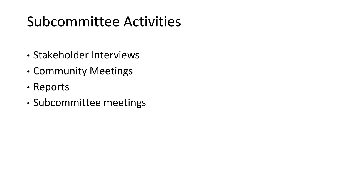### Subcommittee Activities

- Stakeholder Interviews
- Community Meetings
- Reports
- Subcommittee meetings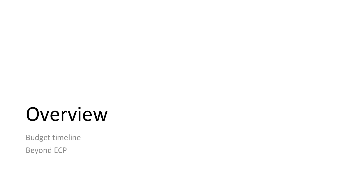## Overview

Budget timeline

Beyond ECP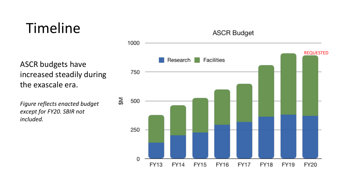### Timeline

ASCR budgets have increased steadily during the exascale era.

*Figure reflects enacted budget except for FY20. SBIR not included.*

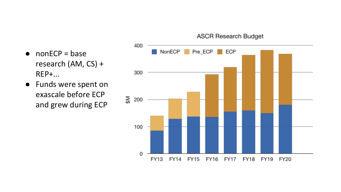#### $\bullet$  nonECP = base research (AM, CS) + REP+...

● Funds were spent on exascale before ECP and grew during ECP



#### **ASCR Research Budget**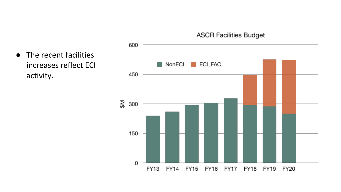

● The recent facilities increases reflect ECI activity.

#### **ASCR Facilities Budget**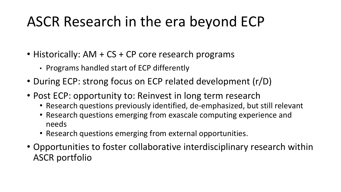### ASCR Research in the era beyond ECP

- Historically: AM + CS + CP core research programs
	- Programs handled start of ECP differently
- During ECP: strong focus on ECP related development (r/D)
- Post ECP: opportunity to: Reinvest in long term research
	- Research questions previously identified, de-emphasized, but still relevant
	- Research questions emerging from exascale computing experience and needs
	- Research questions emerging from external opportunities.
- Opportunities to foster collaborative interdisciplinary research within ASCR portfolio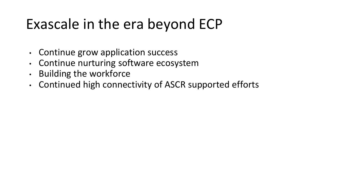### Exascale in the era beyond ECP

- Continue grow application success
- Continue nurturing software ecosystem
- Building the workforce
- Continued high connectivity of ASCR supported efforts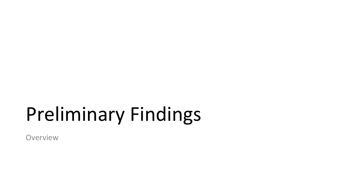# Preliminary Findings

**Overview**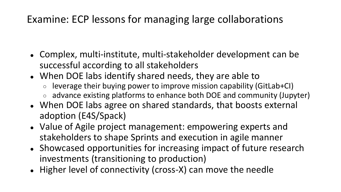#### Examine: ECP lessons for managing large collaborations

- Complex, multi-institute, multi-stakeholder development can be successful according to all stakeholders
- When DOE labs identify shared needs, they are able to
	- leverage their buying power to improve mission capability (GitLab+CI)
	- advance existing platforms to enhance both DOE and community (Jupyter)
- When DOE labs agree on shared standards, that boosts external adoption (E4S/Spack)
- Value of Agile project management: empowering experts and stakeholders to shape Sprints and execution in agile manner
- Showcased opportunities for increasing impact of future research investments (transitioning to production)
- Higher level of connectivity (cross-X) can move the needle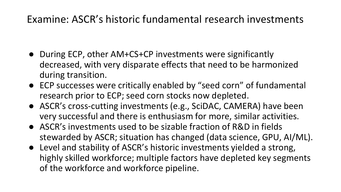#### Examine: ASCR's historic fundamental research investments

- During ECP, other AM+CS+CP investments were significantly decreased, with very disparate effects that need to be harmonized during transition.
- ECP successes were critically enabled by "seed corn" of fundamental research prior to ECP; seed corn stocks now depleted.
- ASCR's cross-cutting investments (e.g., SciDAC, CAMERA) have been very successful and there is enthusiasm for more, similar activities.
- ASCR's investments used to be sizable fraction of R&D in fields stewarded by ASCR; situation has changed (data science, GPU, AI/ML).
- Level and stability of ASCR's historic investments yielded a strong, highly skilled workforce; multiple factors have depleted key segments of the workforce and workforce pipeline.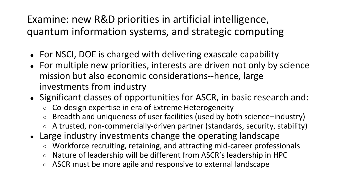#### Examine: new R&D priorities in artificial intelligence, quantum information systems, and strategic computing

- For NSCI, DOE is charged with delivering exascale capability
- For multiple new priorities, interests are driven not only by science mission but also economic considerations--hence, large investments from industry
- Significant classes of opportunities for ASCR, in basic research and:
	- Co-design expertise in era of Extreme Heterogeneity
	- Breadth and uniqueness of user facilities (used by both science+industry)
	- A trusted, non-commercially-driven partner (standards, security, stability)
- Large industry investments change the operating landscape
	- Workforce recruiting, retaining, and attracting mid-career professionals
	- Nature of leadership will be different from ASCR's leadership in HPC
	- ASCR must be more agile and responsive to external landscape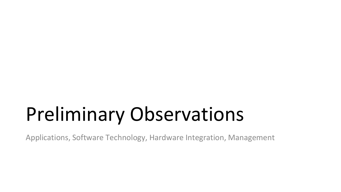# Preliminary Observations

Applications, Software Technology, Hardware Integration, Management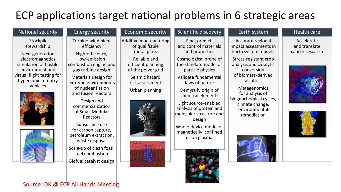#### ECP applications target national problems in 6 strategic areas

| <b>National security</b>                                      | <b>Energy security</b>                                                           | <b>Economic security</b>                                | Scientific discovery                                               | Earth system                                                      | Health care                                    |
|---------------------------------------------------------------|----------------------------------------------------------------------------------|---------------------------------------------------------|--------------------------------------------------------------------|-------------------------------------------------------------------|------------------------------------------------|
| Stockpile<br>stewardship<br>Next-generation                   | Turbine wind plant<br>efficiency<br>High-efficiency,                             | Additive manufacturing<br>of qualifiable<br>metal parts | Find, predict,<br>and control materials<br>and properties          | Accurate regional<br>impact assessments in<br>Earth system models | Accelerate<br>and translate<br>cancer research |
| electromagnetics<br>simulation of hostile<br>environment and  | low-emission<br>combustion engine and<br>gas turbine design                      | Reliable and<br>efficient planning<br>of the power grid | Cosmological probe of<br>the standard model of<br>particle physics | Stress-resistant crop<br>analysis and catalytic<br>conversion     |                                                |
| virtual flight testing for<br>hypersonic re-entry<br>vehicles | Materials design for<br>extreme environments<br>of nuclear fission               | Seismic hazard<br>risk assessment                       | Validate fundamental<br>laws of nature                             | of biomass-derived<br>alcohols<br>Metagenomics                    |                                                |
|                                                               | and fusion reactors<br>Design and                                                | Urban planning                                          | Demystify origin of<br>chemical elements<br>Light source-enabled   | for analysis of<br>biogeochemical cycles,                         |                                                |
|                                                               | commercialization<br>of Small Modular<br>Reactors                                |                                                         | analysis of protein and<br>molecular structure and<br>design       | climate change,<br>environmental<br>remediation                   |                                                |
|                                                               | Subsurface use<br>for carbon capture,<br>petroleum extraction,<br>waste disposal |                                                         | Whole-device model of<br>magnetically confined<br>fusion plasmas   |                                                                   |                                                |
|                                                               | Scale-up of clean fossil<br>fuel combustion                                      |                                                         |                                                                    |                                                                   |                                                |
|                                                               | Biofuel catalyst design                                                          |                                                         |                                                                    |                                                                   |                                                |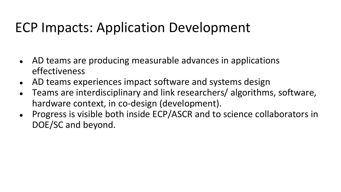#### ECP Impacts: Application Development

- AD teams are producing measurable advances in applications effectiveness
- AD teams experiences impact software and systems design
- Teams are interdisciplinary and link researchers/ algorithms, software, hardware context, in co-design (development).
- Progress is visible both inside ECP/ASCR and to science collaborators in DOE/SC and beyond.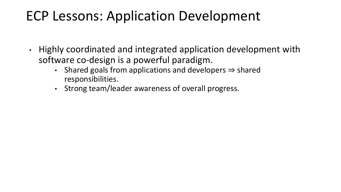#### ECP Lessons: Application Development

- Highly coordinated and integrated application development with software co-design is a powerful paradigm.
	- Shared goals from applications and developers ⇒ shared responsibilities.
	- Strong team/leader awareness of overall progress.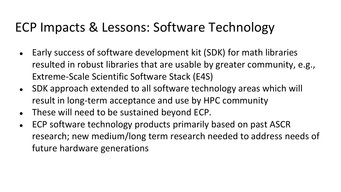#### ECP Impacts & Lessons: Software Technology

- Early success of software development kit (SDK) for math libraries resulted in robust libraries that are usable by greater community, e.g., Extreme-Scale Scientific Software Stack (E4S)
- SDK approach extended to all software technology areas which will result in long-term acceptance and use by HPC community
- These will need to be sustained beyond ECP.
- ECP software technology products primarily based on past ASCR research; new medium/long term research needed to address needs of future hardware generations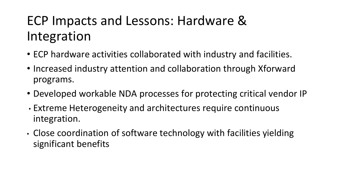#### ECP Impacts and Lessons: Hardware & Integration

- ECP hardware activities collaborated with industry and facilities.
- Increased industry attention and collaboration through Xforward programs.
- Developed workable NDA processes for protecting critical vendor IP
- Extreme Heterogeneity and architectures require continuous integration.
- Close coordination of software technology with facilities yielding significant benefits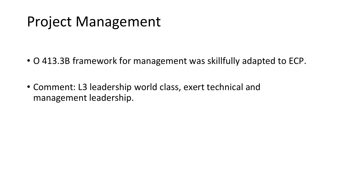#### Project Management

- O 413.3B framework for management was skillfully adapted to ECP.
- Comment: L3 leadership world class, exert technical and management leadership.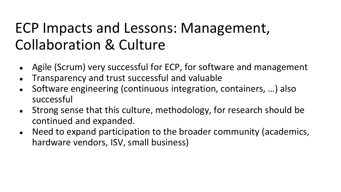### ECP Impacts and Lessons: Management, Collaboration & Culture

- Agile (Scrum) very successful for ECP, for software and management
- Transparency and trust successful and valuable
- Software engineering (continuous integration, containers, ...) also successful
- Strong sense that this culture, methodology, for research should be continued and expanded.
- Need to expand participation to the broader community (academics, hardware vendors, ISV, small business)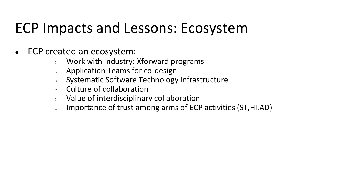#### ECP Impacts and Lessons: Ecosystem

- ECP created an ecosystem:
	- Work with industry: Xforward programs
	- Application Teams for co-design
	- Systematic Software Technology infrastructure
	- Culture of collaboration
	- Value of interdisciplinary collaboration
	- Importance of trust among arms of ECP activities (ST,HI,AD)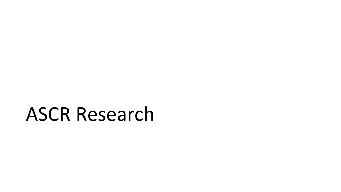## ASCR Research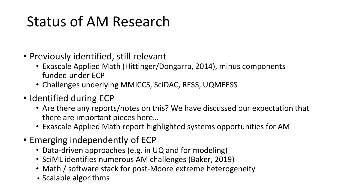## Status of AM Research

- Previously identified, still relevant
	- Exascale Applied Math (Hittinger/Dongarra, 2014), minus components funded under ECP
	- Challenges underlying MMICCS, SciDAC, RESS, UQMEESS
- Identified during ECP
	- Are there any reports/notes on this? We have discussed our expectation that there are important pieces here…
	- Exascale Applied Math report highlighted systems opportunities for AM
- Emerging independently of ECP
	- Data-driven approaches (e.g. in UQ and for modeling)
	- SciML identifies numerous AM challenges (Baker, 2019)
	- Math / software stack for post-Moore extreme heterogeneity
	- Scalable algorithms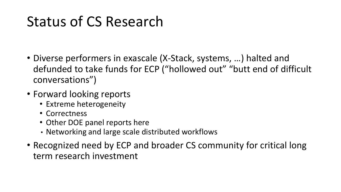### Status of CS Research

- Diverse performers in exascale (X-Stack, systems, …) halted and defunded to take funds for ECP ("hollowed out" "butt end of difficult conversations")
- Forward looking reports
	- Extreme heterogeneity
	- Correctness
	- Other DOE panel reports here
	- Networking and large scale distributed workflows
- Recognized need by ECP and broader CS community for critical long term research investment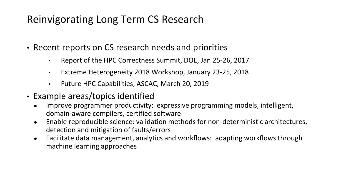#### Reinvigorating Long Term CS Research

- Recent reports on CS research needs and priorities
	- Report of the HPC Correctness Summit, DOE, Jan 25-26, 2017
	- Extreme Heterogeneity 2018 Workshop, January 23-25, 2018
	- Future HPC Capabilities, ASCAC, March 20, 2019
- Example areas/topics identified
	- Improve programmer productivity: expressive programming models, intelligent, domain-aware compilers, certified software
	- Enable reproducible science: validation methods for non-deterministic architectures, detection and mitigation of faults/errors
	- Facilitate data management, analytics and workflows: adapting workflows through machine learning approaches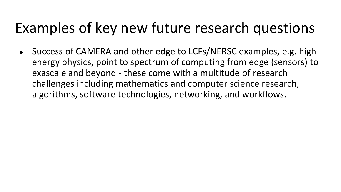#### Examples of key new future research questions

• Success of CAMERA and other edge to LCFs/NERSC examples, e.g. high energy physics, point to spectrum of computing from edge (sensors) to exascale and beyond - these come with a multitude of research challenges including mathematics and computer science research, algorithms, software technologies, networking, and workflows.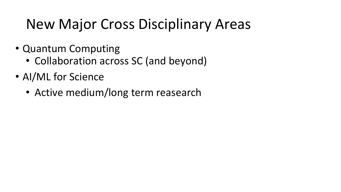### New Major Cross Disciplinary Areas

- Quantum Computing
	- Collaboration across SC (and beyond)
- AI/ML for Science
	- Active medium/long term reasearch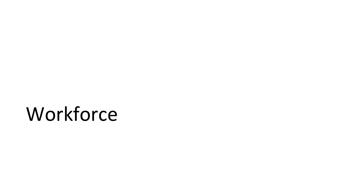## **Workforce**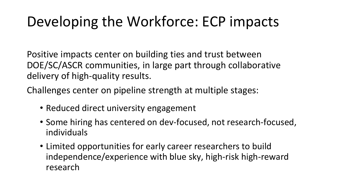### Developing the Workforce: ECP impacts

Positive impacts center on building ties and trust between DOE/SC/ASCR communities, in large part through collaborative delivery of high-quality results.

Challenges center on pipeline strength at multiple stages:

- Reduced direct university engagement
- Some hiring has centered on dev-focused, not research-focused, individuals
- Limited opportunities for early career researchers to build independence/experience with blue sky, high-risk high-reward research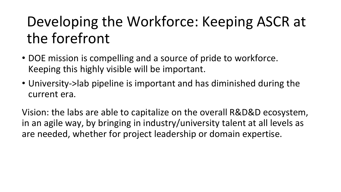## Developing the Workforce: Keeping ASCR at the forefront

- DOE mission is compelling and a source of pride to workforce. Keeping this highly visible will be important.
- University->lab pipeline is important and has diminished during the current era.

Vision: the labs are able to capitalize on the overall R&D&D ecosystem, in an agile way, by bringing in industry/university talent at all levels as are needed, whether for project leadership or domain expertise.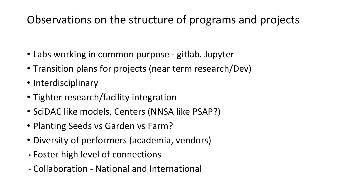#### Observations on the structure of programs and projects

- Labs working in common purpose gitlab. Jupyter
- Transition plans for projects (near term research/Dev)
- Interdisciplinary
- Tighter research/facility integration
- SciDAC like models, Centers (NNSA like PSAP?)
- Planting Seeds vs Garden vs Farm?
- Diversity of performers (academia, vendors)
- Foster high level of connections
- Collaboration National and International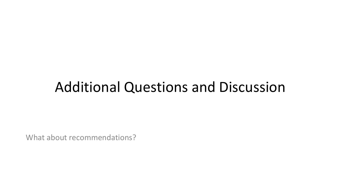#### Additional Questions and Discussion

What about recommendations?